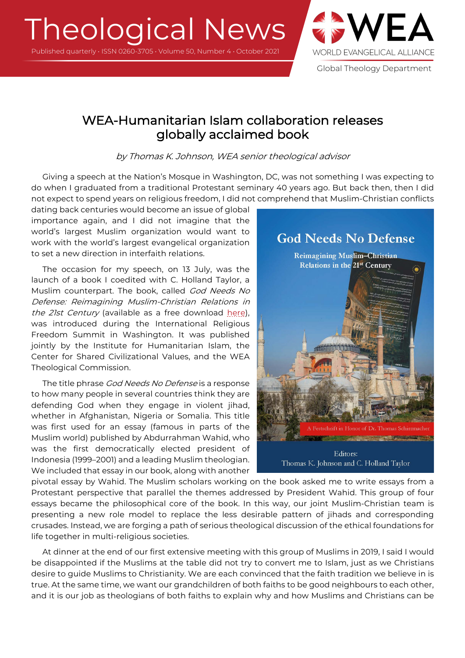# Theological News

Published quarterly • ISSN 0260-3705 • Volume 50, Number 4 • October 2021



Global Theology Department

# WEA-Humanitarian Islam collaboration releases globally acclaimed book

by Thomas K. Johnson, WEA senior theological advisor

Giving a speech at the Nation's Mosque in Washington, DC, was not something I was expecting to do when I graduated from a traditional Protestant seminary 40 years ago. But back then, then I did not expect to spend years on religious freedom, I did not comprehend that Muslim-Christian conflicts

dating back centuries would become an issue of global importance again, and I did not imagine that the world's largest Muslim organization would want to work with the world's largest evangelical organization to set a new direction in interfaith relations.

The occasion for my speech, on 13 July, was the launch of a book I coedited with C. Holland Taylor, a Muslim counterpart. The book, called God Needs No Defense: Reimagining Muslim-Christian Relations in the 21st Century (available as a free download here), was introduced during the International Religious Freedom Summit in Washington. It was published jointly by the Institute for Humanitarian Islam, the Center for Shared Civilizational Values, and the WEA Theological Commission.

The title phrase God Needs No Defense is a response to how many people in several countries think they are defending God when they engage in violent jihad, whether in Afghanistan, Nigeria or Somalia. This title was first used for an essay (famous in parts of the Muslim world) published by Abdurrahman Wahid, who was the first democratically elected president of Indonesia (1999–2001) and a leading Muslim theologian. We included that essay in our book, along with another



pivotal essay by Wahid. The Muslim scholars working on the book asked me to write essays from a Protestant perspective that parallel the themes addressed by President Wahid. This group of four essays became the philosophical core of the book. In this way, our joint Muslim-Christian team is presenting a new role model to replace the less desirable pattern of jihads and corresponding crusades. Instead, we are forging a path of serious theological discussion of the ethical foundations for life together in multi-religious societies.

At dinner at the end of our first extensive meeting with this group of Muslims in 2019, I said I would be disappointed if the Muslims at the table did not try to convert me to Islam, just as we Christians desire to guide Muslims to Christianity. We are each convinced that the faith tradition we believe in is true. At the same time, we want our grandchildren of both faiths to be good neighbours to each other, and it is our job as theologians of both faiths to explain why and how Muslims and Christians can be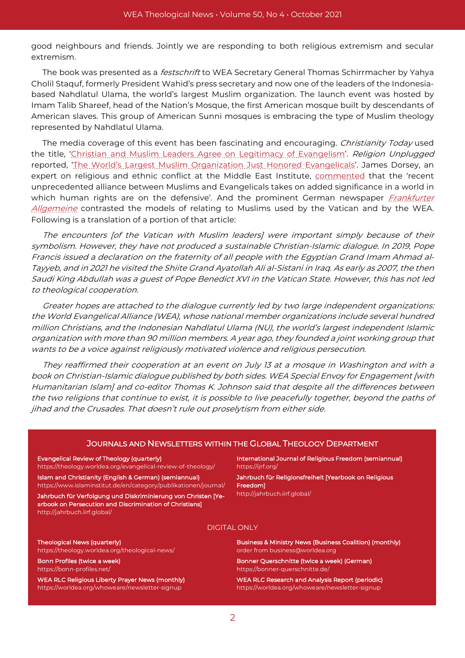good neighbours and friends. Jointly we are responding to both religious extremism and secular extremism.

The book was presented as a *festschrift* to WEA Secretary General Thomas Schirrmacher by Yahya Cholil Staquf, formerly President Wahid's press secretary and now one of the leaders of the Indonesiabased Nahdlatul Ulama, the world's largest Muslim organization. The launch event was hosted by Imam Talib Shareef, head of the Nation's Mosque, the first American mosque built by descendants of American slaves. This group of American Sunni mosques is embracing the type of Muslim theology represented by Nahdlatul Ulama.

The media coverage of this event has been fascinating and encouraging. Christianity Today used the title, 'Christian and Muslim Leaders Agree on Legitimacy of Evangelism'. Religion Unplugged reported, 'The World's Largest Muslim Organization Just Honored Evangelicals'. James Dorsey, an expert on religious and ethnic conflict at the Middle East Institute, commented that the 'recent unprecedented alliance between Muslims and Evangelicals takes on added significance in a world in which human rights are on the defensive'. And the prominent German newspaper Frankfurter Allgemeine contrasted the models of relating to Muslims used by the Vatican and by the WEA. Following is a translation of a portion of that article:

The encounters [of the Vatican with Muslim leaders] were important simply because of their symbolism. However, they have not produced a sustainable Christian-Islamic dialogue. In 2019, Pope Francis issued a declaration on the fraternity of all people with the Egyptian Grand Imam Ahmad al-Tayyeb, and in 2021 he visited the Shiite Grand Ayatollah Ali al-Sistani in Iraq. As early as 2007, the then Saudi King Abdullah was a guest of Pope Benedict XVI in the Vatican State. However, this has not led to theological cooperation.

Greater hopes are attached to the dialogue currently led by two large independent organizations: the World Evangelical Alliance (WEA), whose national member organizations include several hundred million Christians, and the Indonesian Nahdlatul Ulama (NU), the world's largest independent Islamic organization with more than 90 million members. A year ago, they founded a joint working group that wants to be a voice against religiously motivated violence and religious persecution.

They reaffirmed their cooperation at an event on July 13 at a mosque in Washington and with a book on Christian-Islamic dialogue published by both sides. WEA Special Envoy for Engagement [with Humanitarian Islam] and co-editor Thomas K. Johnson said that despite all the differences between the two religions that continue to exist, it is possible to live peacefully together, beyond the paths of jihad and the Crusades. That doesn't rule out proselytism from either side.

#### JOURNALS AND NEWSLETTERS WITHIN THE GLOBAL THEOLOGY DEPARTMENT

#### Evangelical Review of Theology (quarterly)

https://theology.worldea.org/evangelical-review-of-theology/

Islam and Christianity (English & German) (semiannual) https://www.islaminstitut.de/en/category/publikationen/journal/ Jahrbuch für Verfolgung und Diskriminierung von Christen [Yearbook on Persecution and Discrimination of Christians] http://jahrbuch.iirf.global/

International Journal of Religious Freedom (semiannual) https://ijrf.org/

Jahrbuch für Religionsfreiheit [Yearbook on Religious Freedom] http://jahrbuch.iirf.global/

#### DIGITAL ONLY

Theological News (quarterly) https://theology.worldea.org/theological-news/

Bonn Profiles (twice a week) https://bonn-profiles.net/

WEA RLC Religious Liberty Prayer News (monthly) https://worldea.org/whoweare/newsletter-signup

Business & Ministry News (Business Coalition) (monthly) order from business@worldea.org

Bonner Querschnitte (twice a week) (German) https://bonner-querschnitte.de/

WEA RLC Research and Analysis Report (periodic) https://worldea.org/whoweare/newsletter-signup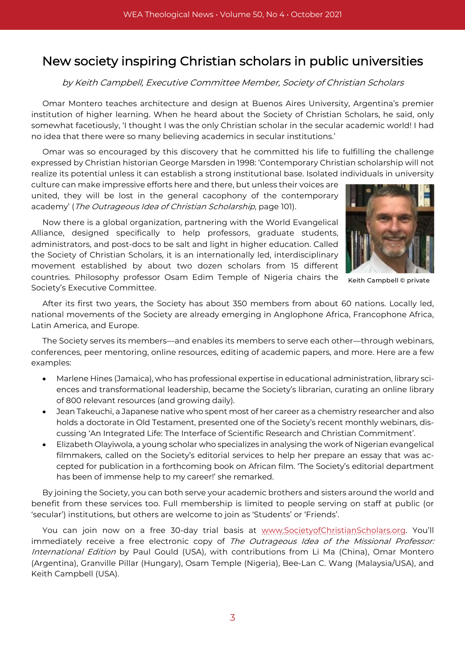# New society inspiring Christian scholars in public universities

## by Keith Campbell, Executive Committee Member, Society of Christian Scholars

Omar Montero teaches architecture and design at Buenos Aires University, Argentina's premier institution of higher learning. When he heard about the Society of Christian Scholars, he said, only somewhat facetiously, 'I thought I was the only Christian scholar in the secular academic world! I had no idea that there were so many believing academics in secular institutions.'

Omar was so encouraged by this discovery that he committed his life to fulfilling the challenge expressed by Christian historian George Marsden in 1998: 'Contemporary Christian scholarship will not realize its potential unless it can establish a strong institutional base. Isolated individuals in university

culture can make impressive efforts here and there, but unless their voices are united, they will be lost in the general cacophony of the contemporary academy' (The Outrageous Idea of Christian Scholarship, page 101).

Now there is a global organization, partnering with the World Evangelical Alliance, designed specifically to help professors, graduate students, administrators, and post-docs to be salt and light in higher education. Called the Society of Christian Scholars, it is an internationally led, interdisciplinary movement established by about two dozen scholars from 15 different countries. Philosophy professor Osam Edim Temple of Nigeria chairs the Society's Executive Committee.



Keith Campbell © private

After its first two years, the Society has about 350 members from about 60 nations. Locally led, national movements of the Society are already emerging in Anglophone Africa, Francophone Africa, Latin America, and Europe.

The Society serves its members—and enables its members to serve each other—through webinars, conferences, peer mentoring, online resources, editing of academic papers, and more. Here are a few examples:

- Marlene Hines (Jamaica), who has professional expertise in educational administration, library sciences and transformational leadership, became the Society's librarian, curating an online library of 800 relevant resources (and growing daily).
- Jean Takeuchi, a Japanese native who spent most of her career as a chemistry researcher and also holds a doctorate in Old Testament, presented one of the Society's recent monthly webinars, discussing 'An Integrated Life: The Interface of Scientific Research and Christian Commitment'.
- Elizabeth Olayiwola, a young scholar who specializes in analysing the work of Nigerian evangelical filmmakers, called on the Society's editorial services to help her prepare an essay that was accepted for publication in a forthcoming book on African film. 'The Society's editorial department has been of immense help to my career!' she remarked.

By joining the Society, you can both serve your academic brothers and sisters around the world and benefit from these services too. Full membership is limited to people serving on staff at public (or 'secular') institutions, but others are welcome to join as 'Students' or 'Friends'.

You can join now on a free 30-day trial basis at www.SocietyofChristianScholars.org. You'll immediately receive a free electronic copy of The Outrageous Idea of the Missional Professor: International Edition by Paul Gould (USA), with contributions from Li Ma (China), Omar Montero (Argentina), Granville Pillar (Hungary), Osam Temple (Nigeria), Bee-Lan C. Wang (Malaysia/USA), and Keith Campbell (USA).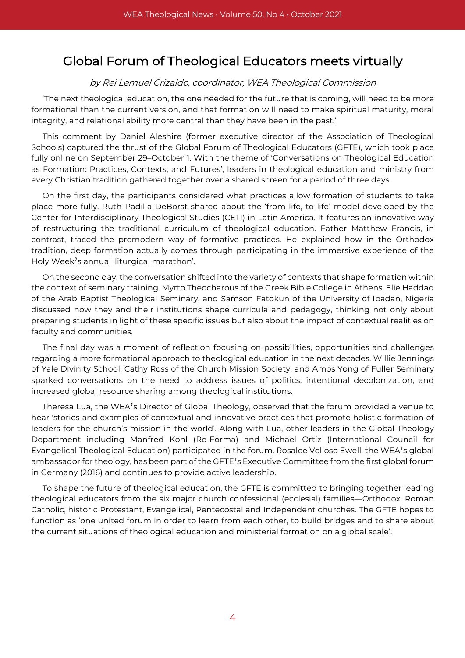# Global Forum of Theological Educators meets virtually

## by Rei Lemuel Crizaldo, coordinator, WEA Theological Commission

'The next theological education, the one needed for the future that is coming, will need to be more formational than the current version, and that formation will need to make spiritual maturity, moral integrity, and relational ability more central than they have been in the past.'

This comment by Daniel Aleshire (former executive director of the Association of Theological Schools) captured the thrust of the Global Forum of Theological Educators (GFTE), which took place fully online on September 29–October 1. With the theme of 'Conversations on Theological Education as Formation: Practices, Contexts, and Futures', leaders in theological education and ministry from every Christian tradition gathered together over a shared screen for a period of three days.

On the first day, the participants considered what practices allow formation of students to take place more fully. Ruth Padilla DeBorst shared about the 'from life, to life' model developed by the Center for Interdisciplinary Theological Studies (CETI) in Latin America. It features an innovative way of restructuring the traditional curriculum of theological education. Father Matthew Francis, in contrast, traced the premodern way of formative practices. He explained how in the Orthodox tradition, deep formation actually comes through participating in the immersive experience of the Holy Week's annual 'liturgical marathon'.

On the second day, the conversation shifted into the variety of contexts that shape formation within the context of seminary training. Myrto Theocharous of the Greek Bible College in Athens, Elie Haddad of the Arab Baptist Theological Seminary, and Samson Fatokun of the University of Ibadan, Nigeria discussed how they and their institutions shape curricula and pedagogy, thinking not only about preparing students in light of these specific issues but also about the impact of contextual realities on faculty and communities.

The final day was a moment of reflection focusing on possibilities, opportunities and challenges regarding a more formational approach to theological education in the next decades. Willie Jennings of Yale Divinity School, Cathy Ross of the Church Mission Society, and Amos Yong of Fuller Seminary sparked conversations on the need to address issues of politics, intentional decolonization, and increased global resource sharing among theological institutions.

Theresa Lua, the WEA's Director of Global Theology, observed that the forum provided a venue to hear 'stories and examples of contextual and innovative practices that promote holistic formation of leaders for the church's mission in the world'. Along with Lua, other leaders in the Global Theology Department including Manfred Kohl (Re-Forma) and Michael Ortiz (International Council for Evangelical Theological Education) participated in the forum. Rosalee Velloso Ewell, the WEA's global ambassador for theology, has been part of the GFTE's Executive Committee from the first global forum in Germany (2016) and continues to provide active leadership.

To shape the future of theological education, the GFTE is committed to bringing together leading theological educators from the six major church confessional (ecclesial) families—Orthodox, Roman Catholic, historic Protestant, Evangelical, Pentecostal and Independent churches. The GFTE hopes to function as 'one united forum in order to learn from each other, to build bridges and to share about the current situations of theological education and ministerial formation on a global scale'.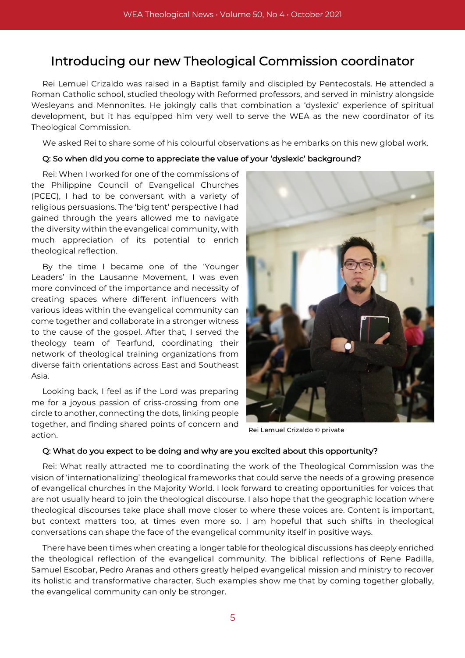# Introducing our new Theological Commission coordinator

Rei Lemuel Crizaldo was raised in a Baptist family and discipled by Pentecostals. He attended a Roman Catholic school, studied theology with Reformed professors, and served in ministry alongside Wesleyans and Mennonites. He jokingly calls that combination a 'dyslexic' experience of spiritual development, but it has equipped him very well to serve the WEA as the new coordinator of its Theological Commission.

We asked Rei to share some of his colourful observations as he embarks on this new global work.

### Q: So when did you come to appreciate the value of your 'dyslexic' background?

Rei: When I worked for one of the commissions of the Philippine Council of Evangelical Churches (PCEC), I had to be conversant with a variety of religious persuasions. The 'big tent' perspective I had gained through the years allowed me to navigate the diversity within the evangelical community, with much appreciation of its potential to enrich theological reflection.

By the time I became one of the 'Younger Leaders' in the Lausanne Movement, I was even more convinced of the importance and necessity of creating spaces where different influencers with various ideas within the evangelical community can come together and collaborate in a stronger witness to the cause of the gospel. After that, I served the theology team of Tearfund, coordinating their network of theological training organizations from diverse faith orientations across East and Southeast Asia.

Looking back, I feel as if the Lord was preparing me for a joyous passion of criss-crossing from one circle to another, connecting the dots, linking people together, and finding shared points of concern and action.



Rei Lemuel Crizaldo © private

#### Q: What do you expect to be doing and why are you excited about this opportunity?

Rei: What really attracted me to coordinating the work of the Theological Commission was the vision of 'internationalizing' theological frameworks that could serve the needs of a growing presence of evangelical churches in the Majority World. I look forward to creating opportunities for voices that are not usually heard to join the theological discourse. I also hope that the geographic location where theological discourses take place shall move closer to where these voices are. Content is important, but context matters too, at times even more so. I am hopeful that such shifts in theological conversations can shape the face of the evangelical community itself in positive ways.

There have been times when creating a longer table for theological discussions has deeply enriched the theological reflection of the evangelical community. The biblical reflections of Rene Padilla, Samuel Escobar, Pedro Aranas and others greatly helped evangelical mission and ministry to recover its holistic and transformative character. Such examples show me that by coming together globally, the evangelical community can only be stronger.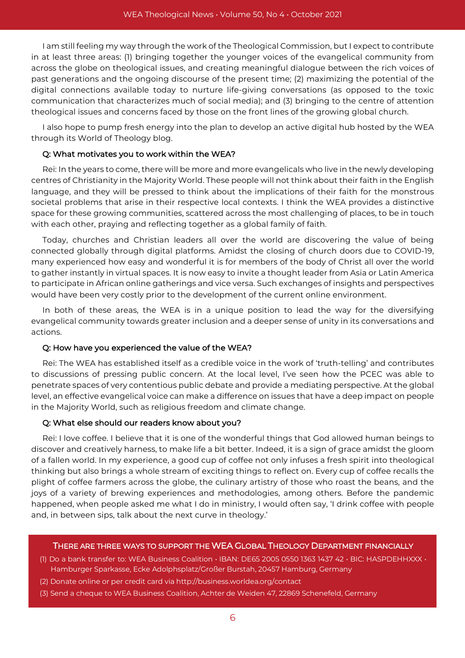I am still feeling my way through the work of the Theological Commission, but I expect to contribute in at least three areas: (1) bringing together the younger voices of the evangelical community from across the globe on theological issues, and creating meaningful dialogue between the rich voices of past generations and the ongoing discourse of the present time; (2) maximizing the potential of the digital connections available today to nurture life-giving conversations (as opposed to the toxic communication that characterizes much of social media); and (3) bringing to the centre of attention theological issues and concerns faced by those on the front lines of the growing global church.

I also hope to pump fresh energy into the plan to develop an active digital hub hosted by the WEA through its World of Theology blog.

## Q: What motivates you to work within the WEA?

Rei: In the years to come, there will be more and more evangelicals who live in the newly developing centres of Christianity in the Majority World. These people will not think about their faith in the English language, and they will be pressed to think about the implications of their faith for the monstrous societal problems that arise in their respective local contexts. I think the WEA provides a distinctive space for these growing communities, scattered across the most challenging of places, to be in touch with each other, praying and reflecting together as a global family of faith.

Today, churches and Christian leaders all over the world are discovering the value of being connected globally through digital platforms. Amidst the closing of church doors due to COVID-19, many experienced how easy and wonderful it is for members of the body of Christ all over the world to gather instantly in virtual spaces. It is now easy to invite a thought leader from Asia or Latin America to participate in African online gatherings and vice versa. Such exchanges of insights and perspectives would have been very costly prior to the development of the current online environment.

In both of these areas, the WEA is in a unique position to lead the way for the diversifying evangelical community towards greater inclusion and a deeper sense of unity in its conversations and actions.

## Q: How have you experienced the value of the WEA?

Rei: The WEA has established itself as a credible voice in the work of 'truth-telling' and contributes to discussions of pressing public concern. At the local level, I've seen how the PCEC was able to penetrate spaces of very contentious public debate and provide a mediating perspective. At the global level, an effective evangelical voice can make a difference on issues that have a deep impact on people in the Majority World, such as religious freedom and climate change.

## Q: What else should our readers know about you?

Rei: I love coffee. I believe that it is one of the wonderful things that God allowed human beings to discover and creatively harness, to make life a bit better. Indeed, it is a sign of grace amidst the gloom of a fallen world. In my experience, a good cup of coffee not only infuses a fresh spirit into theological thinking but also brings a whole stream of exciting things to reflect on. Every cup of coffee recalls the plight of coffee farmers across the globe, the culinary artistry of those who roast the beans, and the joys of a variety of brewing experiences and methodologies, among others. Before the pandemic happened, when people asked me what I do in ministry, I would often say, 'I drink coffee with people and, in between sips, talk about the next curve in theology.'

## THERE ARE THREE WAYS TO SUPPORT THE WEA GLOBAL THEOLOGY DEPARTMENT FINANCIALLY

- (1) Do a bank transfer to: WEA Business Coalition IBAN: DE65 2005 0550 1363 1437 42 BIC: HASPDEHHXXX Hamburger Sparkasse, Ecke Adolphsplatz/Großer Burstah, 20457 Hamburg, Germany
- (2) Donate online or per credit card via http://business.worldea.org/contact
- (3) Send a cheque to WEA Business Coalition, Achter de Weiden 47, 22869 Schenefeld, Germany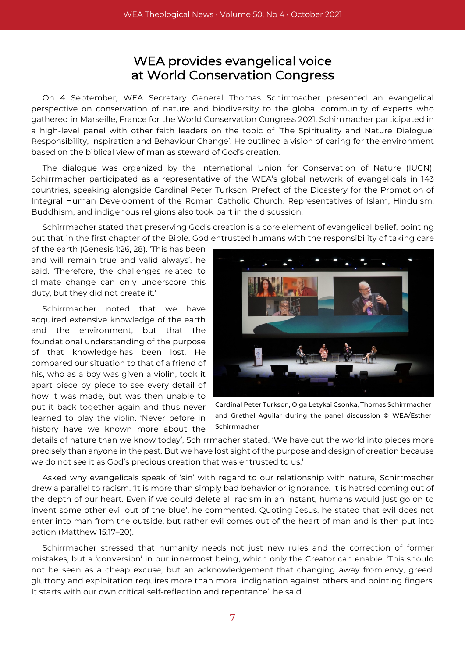# WEA provides evangelical voice at World Conservation Congress

On 4 September, WEA Secretary General Thomas Schirrmacher presented an evangelical perspective on conservation of nature and biodiversity to the global community of experts who gathered in Marseille, France for the World Conservation Congress 2021. Schirrmacher participated in a high-level panel with other faith leaders on the topic of 'The Spirituality and Nature Dialogue: Responsibility, Inspiration and Behaviour Change'. He outlined a vision of caring for the environment based on the biblical view of man as steward of God's creation.

The dialogue was organized by the International Union for Conservation of Nature (IUCN). Schirrmacher participated as a representative of the WEA's global network of evangelicals in 143 countries, speaking alongside Cardinal Peter Turkson, Prefect of the Dicastery for the Promotion of Integral Human Development of the Roman Catholic Church. Representatives of Islam, Hinduism, Buddhism, and indigenous religions also took part in the discussion.

Schirrmacher stated that preserving God's creation is a core element of evangelical belief, pointing out that in the first chapter of the Bible, God entrusted humans with the responsibility of taking care

of the earth (Genesis 1:26, 28). 'This has been and will remain true and valid always', he said. 'Therefore, the challenges related to climate change can only underscore this duty, but they did not create it.'

Schirrmacher noted that we have acquired extensive knowledge of the earth and the environment, but that the foundational understanding of the purpose of that knowledge has been lost. He compared our situation to that of a friend of his, who as a boy was given a violin, took it apart piece by piece to see every detail of how it was made, but was then unable to put it back together again and thus never learned to play the violin. 'Never before in history have we known more about the



Cardinal Peter Turkson, Olga Letykai Csonka, Thomas Schirrmacher and Grethel Aguilar during the panel discussion © WEA/Esther Schirrmacher

details of nature than we know today', Schirrmacher stated. 'We have cut the world into pieces more precisely than anyone in the past. But we have lost sight of the purpose and design of creation because we do not see it as God's precious creation that was entrusted to us.'

Asked why evangelicals speak of 'sin' with regard to our relationship with nature, Schirrmacher drew a parallel to racism. 'It is more than simply bad behavior or ignorance. It is hatred coming out of the depth of our heart. Even if we could delete all racism in an instant, humans would just go on to invent some other evil out of the blue', he commented. Quoting Jesus, he stated that evil does not enter into man from the outside, but rather evil comes out of the heart of man and is then put into action (Matthew 15:17–20).

Schirrmacher stressed that humanity needs not just new rules and the correction of former mistakes, but a 'conversion' in our innermost being, which only the Creator can enable. 'This should not be seen as a cheap excuse, but an acknowledgement that changing away from envy, greed, gluttony and exploitation requires more than moral indignation against others and pointing fingers. It starts with our own critical self-reflection and repentance', he said.